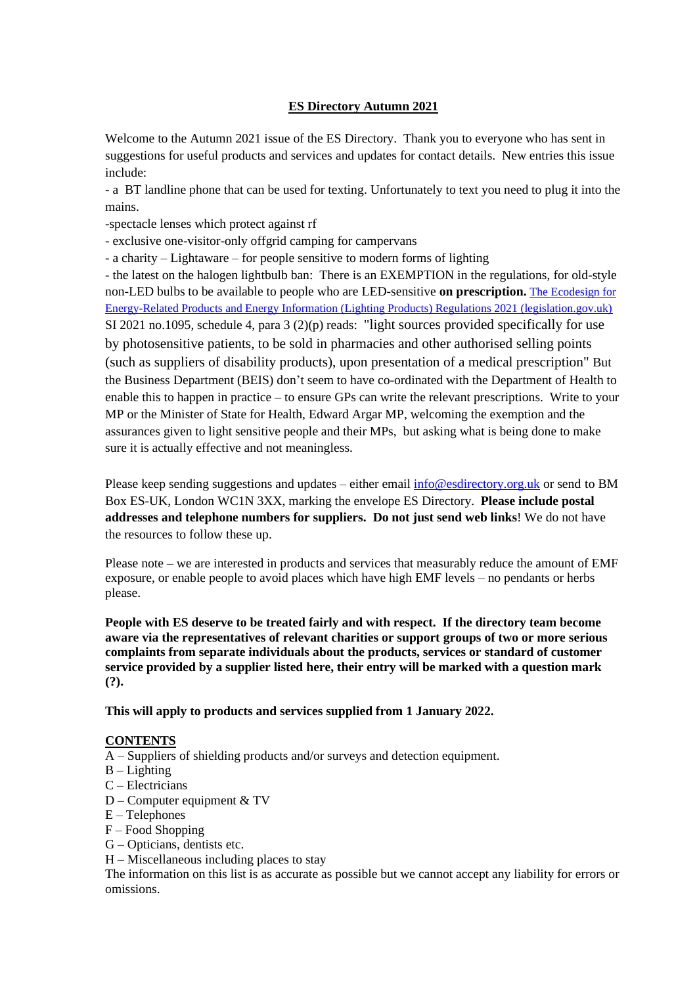# **ES Directory Autumn 2021**

Welcome to the Autumn 2021 issue of the ES Directory. Thank you to everyone who has sent in suggestions for useful products and services and updates for contact details. New entries this issue include:

- a BT landline phone that can be used for texting. Unfortunately to text you need to plug it into the mains.

-spectacle lenses which protect against rf

- exclusive one-visitor-only offgrid camping for campervans

- a charity – Lightaware – for people sensitive to modern forms of lighting

- the latest on the halogen lightbulb ban: There is an EXEMPTION in the regulations, for old-style non-LED bulbs to be available to people who are LED-sensitive **on prescription.** [The Ecodesign for](https://www.legislation.gov.uk/ukdsi/2021/9780348225488/contents)  [Energy-Related Products and Energy Information \(Lighting Products\) Regulations 2021 \(legislation.gov.uk\)](https://www.legislation.gov.uk/ukdsi/2021/9780348225488/contents) SI 2021 no.1095, schedule 4, para 3 (2)(p) reads: "light sources provided specifically for use by photosensitive patients, to be sold in pharmacies and other authorised selling points (such as suppliers of disability products), upon presentation of a medical prescription" But the Business Department (BEIS) don't seem to have co-ordinated with the Department of Health to enable this to happen in practice – to ensure GPs can write the relevant prescriptions. Write to your MP or the Minister of State for Health, Edward Argar MP, welcoming the exemption and the assurances given to light sensitive people and their MPs, but asking what is being done to make sure it is actually effective and not meaningless.

Please keep sending suggestions and updates – either email  $info@$ esdirectory.org.uk or send to BM Box ES-UK, London WC1N 3XX, marking the envelope ES Directory. **Please include postal addresses and telephone numbers for suppliers. Do not just send web links**! We do not have the resources to follow these up.

Please note – we are interested in products and services that measurably reduce the amount of EMF exposure, or enable people to avoid places which have high EMF levels – no pendants or herbs please.

**People with ES deserve to be treated fairly and with respect. If the directory team become aware via the representatives of relevant charities or support groups of two or more serious complaints from separate individuals about the products, services or standard of customer service provided by a supplier listed here, their entry will be marked with a question mark (?).**

**This will apply to products and services supplied from 1 January 2022.** 

### **CONTENTS**

- A Suppliers of shielding products and/or surveys and detection equipment.
- $B -$ Lighting
- C Electricians
- D Computer equipment & TV
- E Telephones
- F Food Shopping
- G Opticians, dentists etc.
- H Miscellaneous including places to stay

The information on this list is as accurate as possible but we cannot accept any liability for errors or omissions.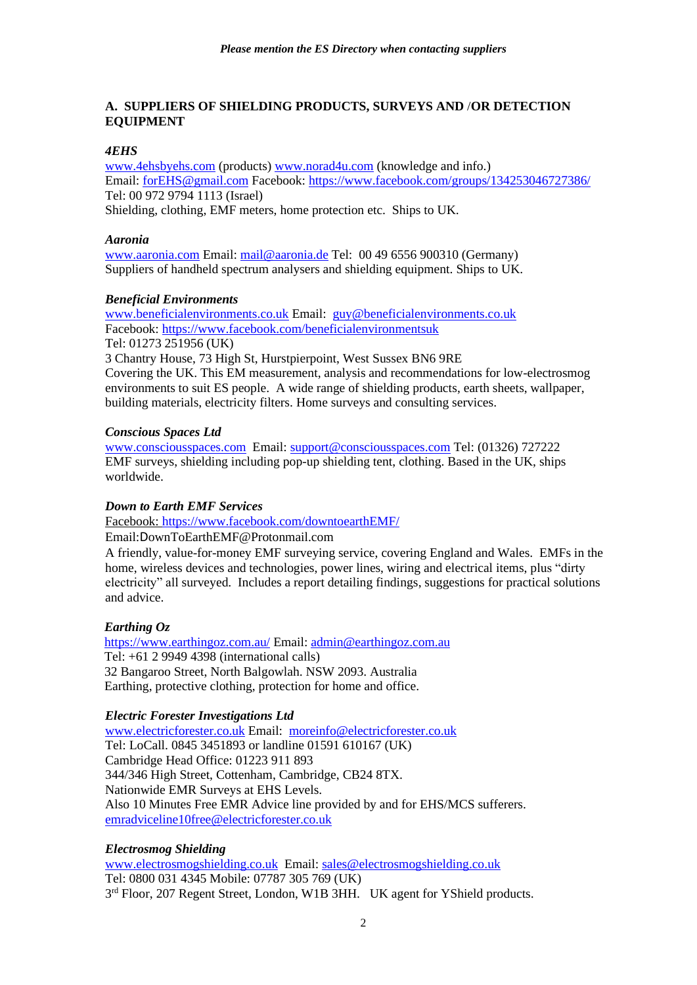### **A. SUPPLIERS OF SHIELDING PRODUCTS, SURVEYS AND** /**OR DETECTION EQUIPMENT**

### *4EHS*

[www.4ehsbyehs.com](http://www.4ehsbyehs.com/) (products) [www.norad4u.com](http://www.norad4u.com/) (knowledge and info.) Email: [forEHS@gmail.com](mailto:forEHS@gmail.comm) Facebook[: https://www.facebook.com/groups/134253046727386/](https://www.facebook.com/groups/134253046727386/) Tel: 00 972 9794 1113 (Israel) Shielding, clothing, EMF meters, home protection etc. Ships to UK.

### *Aaronia*

[www.aaronia.com](http://www.aaronia.com/) Email: [mail@aaronia.de](mailto:mail@aaronia.de) Tel: 00 49 6556 900310 (Germany) Suppliers of handheld spectrum analysers and shielding equipment. Ships to UK.

building materials, electricity filters. Home surveys and consulting services.

### *Beneficial Environments*

[www.beneficialenvironments.co.uk](http://www.beneficialenvironments.co.uk/) Email: [guy@beneficialenvironments.co.uk](mailto:guy@beneficialenvironments.co.uk) Facebook:<https://www.facebook.com/beneficialenvironmentsuk> Tel: 01273 251956 (UK) 3 Chantry House, 73 High St, Hurstpierpoint, West Sussex BN6 9RE Covering the UK. This EM measurement, analysis and recommendations for low-electrosmog environments to suit ES people. A wide range of shielding products, earth sheets, wallpaper,

#### *Conscious Spaces Ltd*

[www.consciousspaces.com](http://www.consciousspaces.com/) Email: [support@consciousspaces.com](mailto:support@consciousspaces.com) Tel: (01326) 727222 EMF surveys, shielding including pop-up shielding tent, clothing. Based in the UK, ships worldwide.

### *Down to Earth EMF Services*

Facebook:<https://www.facebook.com/downtoearthEMF/>

Email:DownToEarthEMF@Protonmail.com

A friendly, value-for-money EMF surveying service, covering England and Wales. EMFs in the home, wireless devices and technologies, power lines, wiring and electrical items, plus "dirty electricity" all surveyed. Includes a report detailing findings, suggestions for practical solutions and advice.

### *Earthing Oz*

<https://www.earthingoz.com.au/> Email[: admin@earthingoz.com.au](mailto:admin@earthingoz.com.au) Tel: +61 2 9949 4398 (international calls) 32 Bangaroo Street, North Balgowlah. NSW 2093. Australia Earthing, protective clothing, protection for home and office.

### *Electric Forester Investigations Ltd*

[www.electricforester.co.uk](http://www.electricforester.co.uk/) Email: [moreinfo@electricforester.co.uk](mailto:moreinfo@electricforester.co.uk) Tel: LoCall. 0845 3451893 or landline 01591 610167 (UK) Cambridge Head Office: 01223 911 893 344/346 High Street, Cottenham, Cambridge, CB24 8TX. Nationwide EMR Surveys at EHS Levels. Also 10 Minutes Free EMR Advice line provided by and for EHS/MCS sufferers. [emradviceline10free@electricforester.co.uk](mailto:emradviceline10free@electricforester.co.uk)

### *Electrosmog Shielding*

[www.electrosmogshielding.co.uk](http://www.electrosmogshielding.co.uk/) Email: [sales@electrosmogshielding.co.uk](mailto:sales@electrosmogshielding.co.ukk) Tel: 0800 031 4345 Mobile: 07787 305 769 (UK) 3rd Floor, 207 Regent Street, London, W1B 3HH. UK agent for YShield products.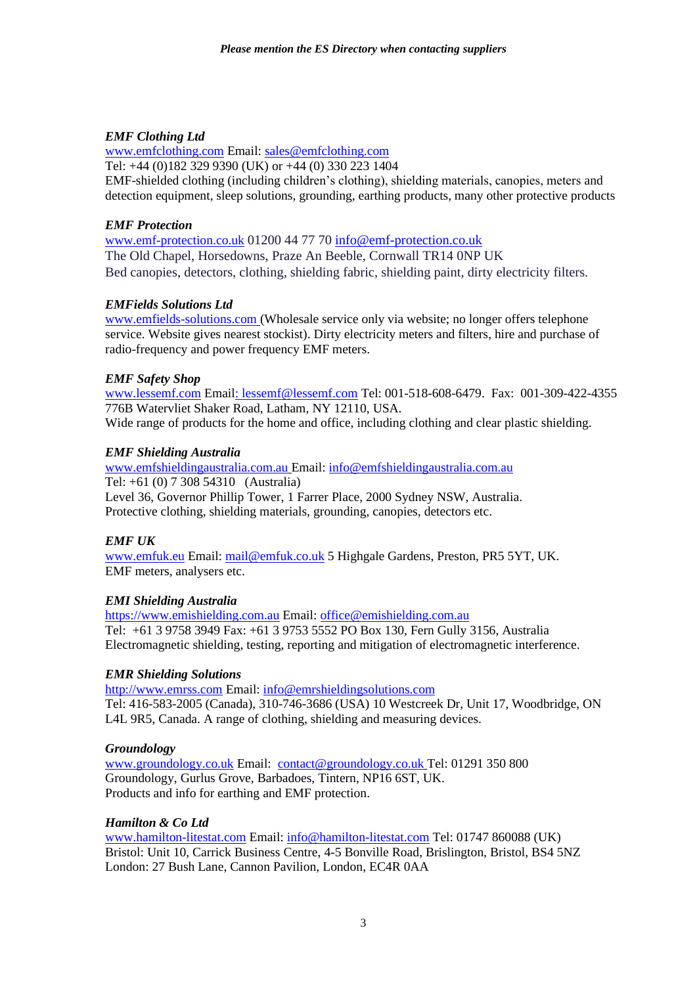### *EMF Clothing Ltd*

[www.emfclothing.com](http://www.emfclothing.com/) Email: [sales@emfclothing.com](mailto:sales@emfclothing.com)

Tel: +44 (0)182 329 9390 (UK) or +44 (0) 330 223 1404

EMF-shielded clothing (including children's clothing), shielding materials, canopies, meters and detection equipment, sleep solutions, grounding, earthing products, many other protective products

### *EMF Protection*

[www.emf-protection.co.uk](http://www.emf-protection.co.uk/) 01200 44 77 70 [info@emf-protection.co.uk](mailto:info@emf-protection.co.uk) The Old Chapel, Horsedowns, Praze An Beeble, Cornwall TR14 0NP UK Bed canopies, detectors, clothing, shielding fabric, shielding paint, dirty electricity filters.

# *EMFields Solutions Ltd*

[www.emfields-solutions.com](http://www.emfields-solutions.com/) (Wholesale service only via website; no longer offers telephone service. Website gives nearest stockist). Dirty electricity meters and filters, hire and purchase of radio-frequency and power frequency EMF meters.

# *EMF Safety Shop*

[www.lessemf.com](http://www.lessemf.com/) Emai[l: lessemf@lessemf.com](mailto::%20lessemf@lessemf.com) Tel: 001-518-608-6479. Fax: 001-309-422-4355 776B Watervliet Shaker Road, Latham, NY 12110, USA.

Wide range of products for the home and office, including clothing and clear plastic shielding.

### *EMF Shielding Australia*

[www.emfshieldingaustralia.com.au](http://www.emfshieldingaustralia.com.au/) Email: [info@emfshieldingaustralia.com.au](mailto:info@emfshieldingaustralia.com.au) Tel: +61 (0) 7 308 54310 (Australia) Level 36, Governor Phillip Tower, 1 Farrer Place, 2000 Sydney NSW, Australia. Protective clothing, shielding materials, grounding, canopies, detectors etc.

# *EMF UK*

[www.emfuk.eu](http://www.emfuk.eu/) Email: [mail@emfuk.co.uk](mailto:mail@emfuk.co.uk) 5 Highgale Gardens, Preston, PR5 5YT, UK. EMF meters, analysers etc.

# *EMI Shielding Australia*

[https://www.emishielding.com.au](https://www.emishielding.com.au/) Email: [office@emishielding.com.au](mailto:office@emishielding.com.au) Tel: +61 3 9758 3949 Fax: +61 3 9753 5552 PO Box 130, Fern Gully 3156, Australia Electromagnetic shielding, testing, reporting and mitigation of electromagnetic interference.

# *EMR Shielding Solutions*

[http://www.emrss.com](http://www.emrss.com/) Email: [info@emrshieldingsolutions.com](mailto:info@emrshieldingsolutions.com) Tel: 416-583-2005 (Canada), 310-746-3686 (USA) 10 Westcreek Dr, Unit 17, Woodbridge, ON L4L 9R5, Canada. A range of clothing, shielding and measuring devices.

# *Groundology*

[www.groundology.co.uk](http://www.groundology.co.uk/) Email: [contact@groundology.co.uk](mailto:contact@groundology.co.uk) Tel: 01291 350 800 Groundology, Gurlus Grove, Barbadoes, Tintern, NP16 6ST, UK. Products and info for earthing and EMF protection.

### *Hamilton & Co Ltd*

[www.hamilton-litestat.com](http://www.hamilton-litestat.com/) Email: [info@hamilton-litestat.com](mailto:info@hamilton-litestat.com) Tel: 01747 860088 (UK) Bristol: Unit 10, Carrick Business Centre, 4-5 Bonville Road, Brislington, Bristol, BS4 5NZ London: 27 Bush Lane, Cannon Pavilion, London, EC4R 0AA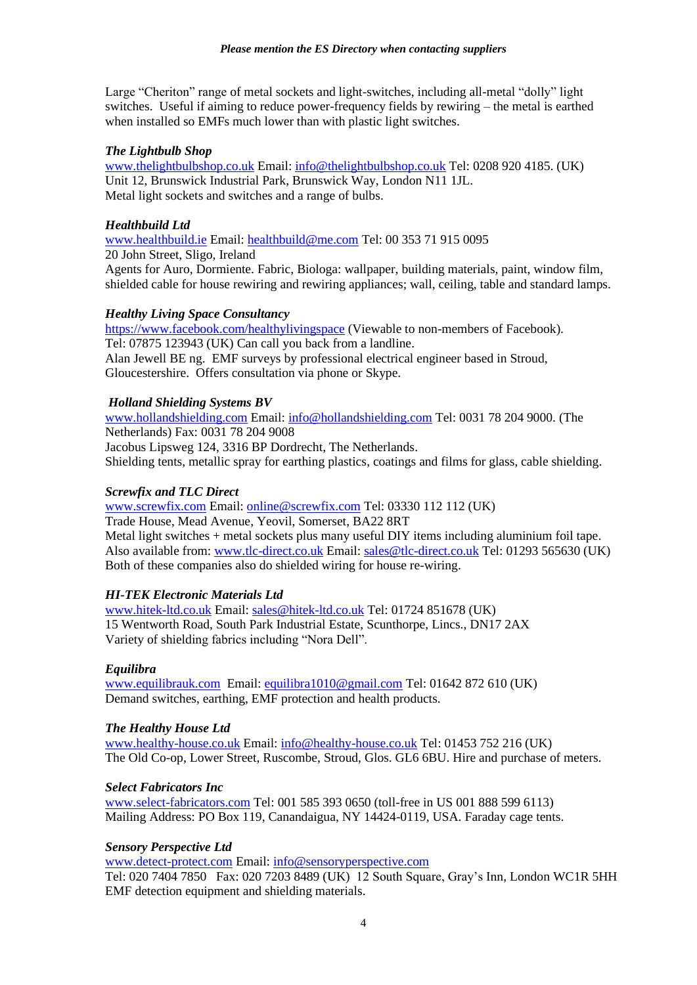Large "Cheriton" range of metal sockets and light-switches, including all-metal "dolly" light switches. Useful if aiming to reduce power-frequency fields by rewiring – the metal is earthed when installed so EMFs much lower than with plastic light switches.

### *The Lightbulb Shop*

[www.thelightbulbshop.co.uk](http://www.thelightbulbshop.co.uk/) Email: [info@thelightbulbshop.co.uk](mailto:info@thelightbulbshop.co.uk) Tel: 0208 920 4185. (UK) Unit 12, Brunswick Industrial Park, Brunswick Way, London N11 1JL. Metal light sockets and switches and a range of bulbs.

#### *Healthbuild Ltd*

[www.healthbuild.ie](http://www.healthbuild.ie/) Email: [healthbuild@me.com](mailto:healthbuild@me.com) Tel: 00 353 71 915 0095 20 John Street, Sligo, Ireland Agents for Auro, Dormiente. Fabric, Biologa: wallpaper, building materials, paint, window film, shielded cable for house rewiring and rewiring appliances; wall, ceiling, table and standard lamps.

#### *Healthy Living Space Consultancy*

<https://www.facebook.com/healthylivingspace> (Viewable to non-members of Facebook). Tel: 07875 123943 (UK) Can call you back from a landline. Alan Jewell BE ng. EMF surveys by professional electrical engineer based in Stroud, Gloucestershire. Offers consultation via phone or Skype.

#### *Holland Shielding Systems BV*

[www.hollandshielding.com](http://www.hollandshielding.com/) Email: [info@hollandshielding.com](mailto:info@hollandshielding.com) Tel: 0031 78 204 9000. (The Netherlands) Fax: 0031 78 204 9008 Jacobus Lipsweg 124, 3316 BP Dordrecht, The Netherlands. Shielding tents, metallic spray for earthing plastics, coatings and films for glass, cable shielding.

#### *Screwfix and TLC Direct*

[www.screwfix.com](http://www.screwfix.com/) Email: [online@screwfix.com](mailto:online@screwfix.com) Tel: 03330 112 112 (UK) Trade House, Mead Avenue, Yeovil, Somerset, BA22 8RT Metal light switches + metal sockets plus many useful DIY items including aluminium foil tape. Also available from: [www.tlc-direct.co.uk](http://www.tlc-direct.co.uk/) Email: [sales@tlc-direct.co.uk](mailto:sales@tlc-direct.co.ukk) Tel: 01293 565630 (UK) Both of these companies also do shielded wiring for house re-wiring.

### *HI-TEK Electronic Materials Ltd*

[www.hitek-ltd.co.uk](http://www.hitek-ltd.co.uk/) Email: [sales@hitek-ltd.co.uk](mailto:sales@hitek-ltd.co.uk) Tel: 01724 851678 (UK) 15 Wentworth Road, South Park Industrial Estate, Scunthorpe, Lincs., DN17 2AX Variety of shielding fabrics including "Nora Dell".

#### *Equilibra*

[www.equilibrauk.com](http://www.equilibrauk.comm/) Email: [equilibra1010@gmail.com](mailto:equilibra1010@gmail.com) Tel: 01642 872 610 (UK) Demand switches, earthing, EMF protection and health products.

#### *The Healthy House Ltd*

[www.healthy-house.co.uk](http://www.healthy-house.co.uk/) Email: [info@healthy-house.co.uk](mailto:info@healthy-house.co.uk) Tel: 01453 752 216 (UK) The Old Co-op, Lower Street, Ruscombe, Stroud, Glos. GL6 6BU. Hire and purchase of meters.

### *Select Fabricators Inc*

[www.select-fabricators.com](http://www.select-fabricators.comm/) Tel: 001 585 393 0650 (toll-free in US 001 888 599 6113) Mailing Address: PO Box 119, Canandaigua, NY 14424-0119, USA. Faraday cage tents.

#### *Sensory Perspective Ltd*

[www.detect-protect.com](http://www.detect-protect.comm/) Email: [info@sensoryperspective.com](mailto:info@sensoryperspective.com)

Tel: 020 7404 7850 Fax: 020 7203 8489 (UK) 12 South Square, Gray's Inn, London WC1R 5HH EMF detection equipment and shielding materials.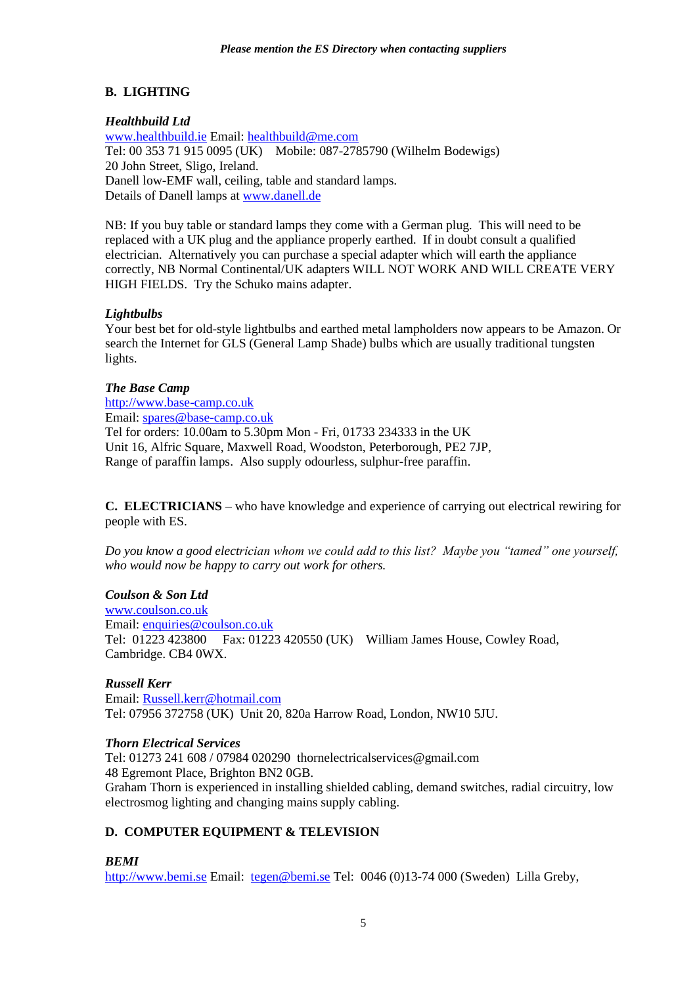# **B. LIGHTING**

# *Healthbuild Ltd*

[www.healthbuild.ie](http://www.healthbuild.ie/) Email: [healthbuild@me.com](mailto:healthbuild@me.com) Tel: 00 353 71 915 0095 (UK) Mobile: 087-2785790 (Wilhelm Bodewigs) 20 John Street, Sligo, Ireland. Danell low-EMF wall, ceiling, table and standard lamps. Details of Danell lamps at [www.danell.de](http://www.danell.de/)

NB: If you buy table or standard lamps they come with a German plug. This will need to be replaced with a UK plug and the appliance properly earthed. If in doubt consult a qualified electrician. Alternatively you can purchase a special adapter which will earth the appliance correctly, NB Normal Continental/UK adapters WILL NOT WORK AND WILL CREATE VERY HIGH FIELDS. Try the Schuko mains adapter.

# *Lightbulbs*

Your best bet for old-style lightbulbs and earthed metal lampholders now appears to be Amazon. Or search the Internet for GLS (General Lamp Shade) bulbs which are usually traditional tungsten lights.

# *The Base Camp*

[http://www.base-camp.co.uk](http://www.base-camp.co.uk/) Email: [spares@base-camp.co.uk](mailto:spares@base-camp.co.uk) Tel for orders: 10.00am to 5.30pm Mon - Fri, 01733 234333 in the UK Unit 16, Alfric Square, Maxwell Road, Woodston, Peterborough, PE2 7JP, Range of paraffin lamps. Also supply odourless, sulphur-free paraffin.

**C. ELECTRICIANS** – who have knowledge and experience of carrying out electrical rewiring for people with ES.

*Do you know a good electrician whom we could add to this list? Maybe you "tamed" one yourself, who would now be happy to carry out work for others.*

# *Coulson & Son Ltd*

[www.coulson.co.uk](http://www.coulson.co.uk/) Email: [enquiries@coulson.co.uk](mailto:enquiries@coulson.co.uk) Tel: 01223 423800 Fax: 01223 420550 (UK) William James House, Cowley Road, Cambridge. CB4 0WX.

# *Russell Kerr*

Email: [Russell.kerr@hotmail.com](mailto:Russell.kerr@hotmail.com) Tel: 07956 372758 (UK) Unit 20, 820a Harrow Road, London, NW10 5JU.

# *Thorn Electrical Services*

Tel: 01273 241 608 / 07984 020290 thornelectricalservices@gmail.com 48 Egremont Place, Brighton BN2 0GB. Graham Thorn is experienced in installing shielded cabling, demand switches, radial circuitry, low electrosmog lighting and changing mains supply cabling.

# **D. COMPUTER EQUIPMENT & TELEVISION**

# *BEMI*

[http://www.bemi.se](http://www.bemi.se/) Email: [tegen@bemi.se](mailto:tegen@bemi.se) Tel: 0046 (0)13-74 000 (Sweden) Lilla Greby,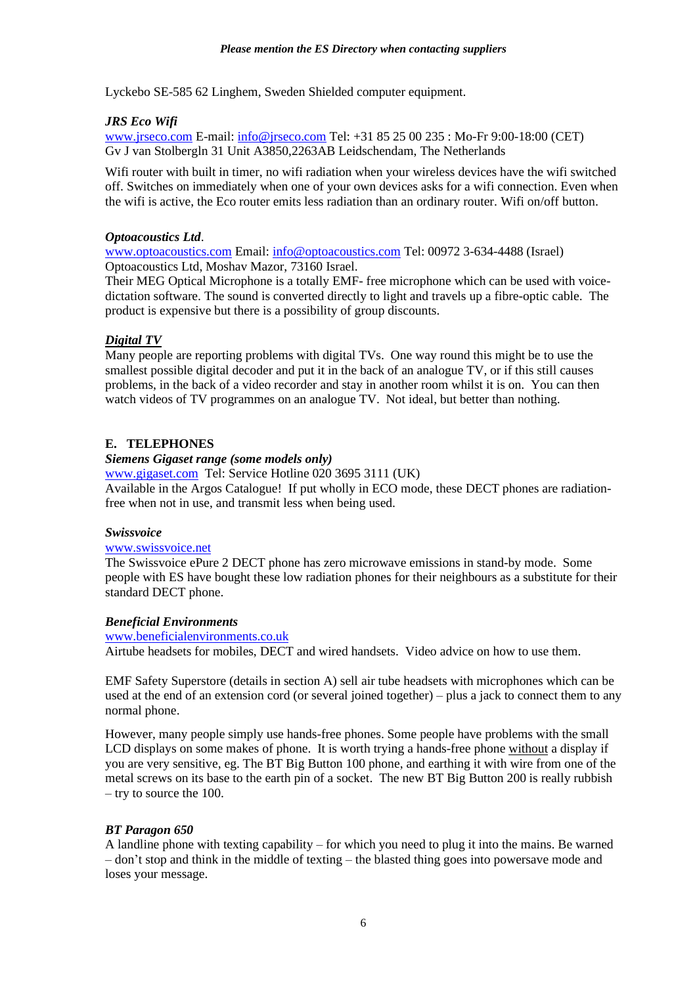Lyckebo SE-585 62 Linghem, Sweden Shielded computer equipment.

### *JRS Eco Wifi*

[www.jrseco.com](http://www.jrseco.com/) E-mail: [info@jrseco.com](mailto:info@jrseco.com) Tel: +31 85 25 00 235 : Mo-Fr 9:00-18:00 (CET) Gv J van Stolbergln 31 Unit A3850,2263AB Leidschendam, The Netherlands

Wifi router with built in timer, no wifi radiation when your wireless devices have the wifi switched off. Switches on immediately when one of your own devices asks for a wifi connection. Even when the wifi is active, the Eco router emits less radiation than an ordinary router. Wifi on/off button.

### *Optoacoustics Ltd*.

[www.optoacoustics.com](http://www.optoacoustics.com/) Email: [info@optoacoustics.com](mailto:info@optoacoustics.com) Tel: 00972 3-634-4488 (Israel) Optoacoustics Ltd, Moshav Mazor, 73160 Israel.

Their MEG Optical Microphone is a totally EMF- free microphone which can be used with voicedictation software. The sound is converted directly to light and travels up a fibre-optic cable. The product is expensive but there is a possibility of group discounts.

# *Digital TV*

Many people are reporting problems with digital TVs. One way round this might be to use the smallest possible digital decoder and put it in the back of an analogue TV, or if this still causes problems, in the back of a video recorder and stay in another room whilst it is on. You can then watch videos of TV programmes on an analogue TV. Not ideal, but better than nothing.

### **E. TELEPHONES**

### *Siemens Gigaset range (some models only)*

[www.gigaset.com](http://www.gigaset.com/) Tel: Service Hotline 020 3695 3111 (UK) Available in the Argos Catalogue! If put wholly in ECO mode, these DECT phones are radiationfree when not in use, and transmit less when being used.

### *Swissvoice*

### [www.swissvoice.net](http://www.swissvoice.net/)

The Swissvoice ePure 2 DECT phone has zero microwave emissions in stand-by mode. Some people with ES have bought these low radiation phones for their neighbours as a substitute for their standard DECT phone.

### *Beneficial Environments*

#### [www.beneficialenvironments.co.uk](http://www.beneficialenvironments.co.uk/)

Airtube headsets for mobiles, DECT and wired handsets. Video advice on how to use them.

EMF Safety Superstore (details in section A) sell air tube headsets with microphones which can be used at the end of an extension cord (or several joined together) – plus a jack to connect them to any normal phone.

However, many people simply use hands-free phones. Some people have problems with the small LCD displays on some makes of phone. It is worth trying a hands-free phone without a display if you are very sensitive, eg. The BT Big Button 100 phone, and earthing it with wire from one of the metal screws on its base to the earth pin of a socket. The new BT Big Button 200 is really rubbish – try to source the 100.

### *BT Paragon 650*

A landline phone with texting capability – for which you need to plug it into the mains. Be warned – don't stop and think in the middle of texting – the blasted thing goes into powersave mode and loses your message.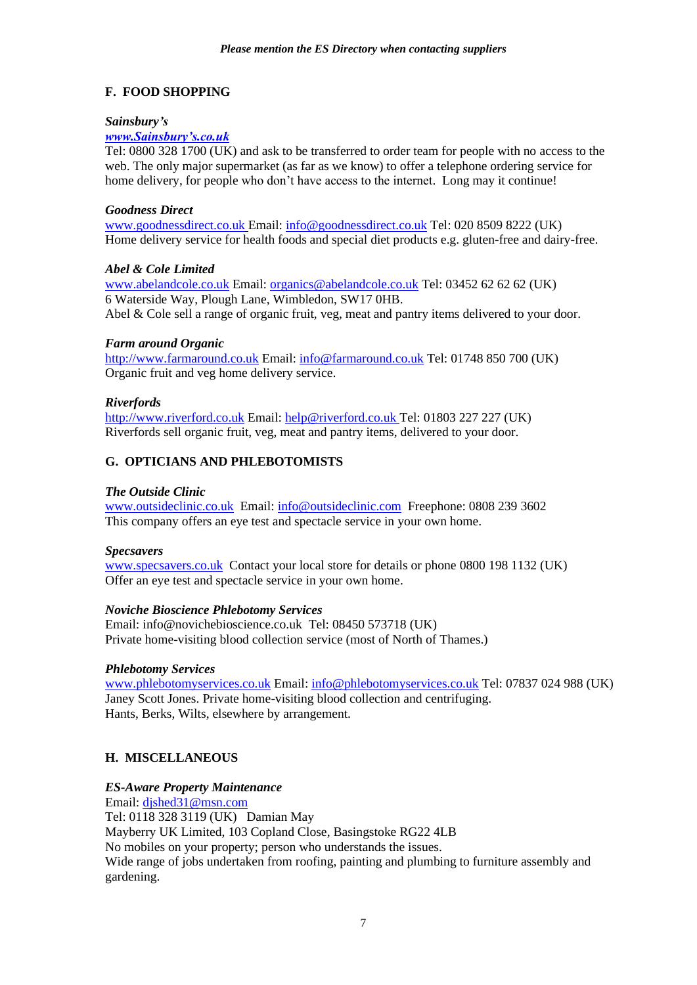# **F. FOOD SHOPPING**

# *Sainsbury's*

# *[www.Sainsbury's.co.uk](http://www.sainsbury)*

Tel: 0800 328 1700 (UK) and ask to be transferred to order team for people with no access to the web. The only major supermarket (as far as we know) to offer a telephone ordering service for home delivery, for people who don't have access to the internet. Long may it continue!

### *Goodness Direct*

[www.goodnessdirect.co.uk](http://www.goodnessdirect.co.uk/) Email: [info@goodnessdirect.co.uk](mailto:info@goodnessdirect.co.uk) Tel: 020 8509 8222 (UK) Home delivery service for health foods and special diet products e.g. gluten-free and dairy-free.

### *Abel & Cole Limited*

[www.abelandcole.co.uk](http://www.abelandcole.co.uk/) Email: [organics@abelandcole.co.uk](mailto:organics@abelandcole.co.uk) Tel: 03452 62 62 62 (UK) 6 Waterside Way, Plough Lane, Wimbledon, SW17 0HB. Abel & Cole sell a range of organic fruit, veg, meat and pantry items delivered to your door.

### *Farm around Organic*

[http://www.farmaround.co.uk](http://www.farmaround.co.uk/) Email[: info@farmaround.co.uk](mailto:info@farmaround.co.uk) Tel: 01748 850 700 (UK) Organic fruit and veg home delivery service.

### *Riverfords*

[http://www.riverford.co.uk](http://www.riverford.co.uk/) Email: [help@riverford.co.uk](mailto:help@riverford.co.uk) Tel: 01803 227 227 (UK) Riverfords sell organic fruit, veg, meat and pantry items, delivered to your door.

# **G. OPTICIANS AND PHLEBOTOMISTS**

### *The Outside Clinic*

[www.outsideclinic.co.uk](http://www.outsideclinic.co.uk/) Email: [info@outsideclinic.com](mailto:info@outsideclinic.com) Freephone: 0808 239 3602 This company offers an eye test and spectacle service in your own home.

### *Specsavers*

[www.specsavers.co.uk](http://www.specsavers.co.uk/) Contact your local store for details or phone 0800 198 1132 (UK) Offer an eye test and spectacle service in your own home.

### *Noviche Bioscience Phlebotomy Services*

Email: info@novichebioscience.co.uk Tel: 08450 573718 (UK) Private home-visiting blood collection service (most of North of Thames.)

### *Phlebotomy Services*

[www.phlebotomyservices.co.uk](http://www.phlebotomyservices.co.uk/) Email: [info@phlebotomyservices.co.uk](mailto:info@phlebotomyservices.co.uk) Tel: 07837 024 988 (UK) Janey Scott Jones. Private home-visiting blood collection and centrifuging. Hants, Berks, Wilts, elsewhere by arrangement.

# **H. MISCELLANEOUS**

# *ES-Aware Property Maintenance*

Email: [djshed31@msn.com](mailto:djshed31@msn.com) Tel: 0118 328 3119 (UK) Damian May Mayberry UK Limited, 103 Copland Close, Basingstoke RG22 4LB No mobiles on your property; person who understands the issues. Wide range of jobs undertaken from roofing, painting and plumbing to furniture assembly and gardening.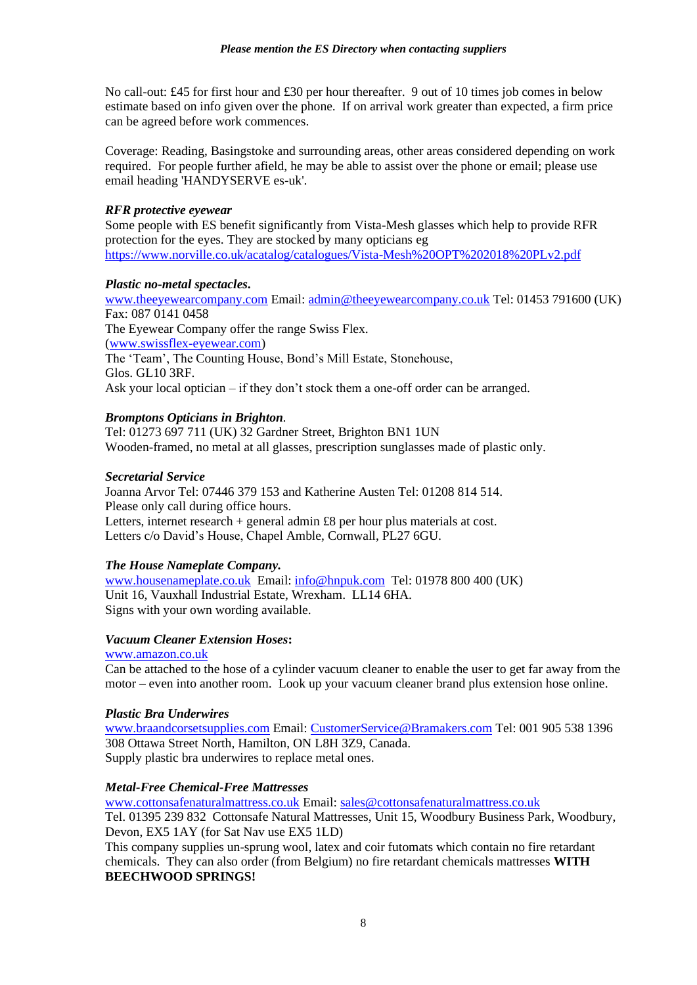No call-out: £45 for first hour and £30 per hour thereafter. 9 out of 10 times job comes in below estimate based on info given over the phone. If on arrival work greater than expected, a firm price can be agreed before work commences.

Coverage: Reading, Basingstoke and surrounding areas, other areas considered depending on work required. For people further afield, he may be able to assist over the phone or email; please use email heading 'HANDYSERVE es-uk'.

### *RFR protective eyewear*

Some people with ES benefit significantly from Vista-Mesh glasses which help to provide RFR protection for the eyes. They are stocked by many opticians eg <https://www.norville.co.uk/acatalog/catalogues/Vista-Mesh%20OPT%202018%20PLv2.pdf>

### *Plastic no-metal spectacles***.**

[www.theeyewearcompany.com](http://www.theeyewearcompany.com/) Email: [admin@theeyewearcompany.co.uk](mailto:admin@theeyewearcompany.co.uk) Tel: 01453 791600 (UK)  $Fx: 087 0141 0458$ The Eyewear Company offer the range Swiss Flex. [\(www.swissflex-eyewear.com\)](http://www.swissflex-eyewear.com/) The 'Team', The Counting House, Bond's Mill Estate, Stonehouse, Glos. GL10 3RF. Ask your local optician – if they don't stock them a one-off order can be arranged.

# *Bromptons Opticians in Brighton.*

Tel: 01273 697 711 (UK) 32 Gardner Street, Brighton BN1 1UN Wooden-framed, no metal at all glasses, prescription sunglasses made of plastic only.

### *Secretarial Service*

Joanna Arvor Tel: 07446 379 153 and Katherine Austen Tel: 01208 814 514. Please only call during office hours. Letters, internet research + general admin £8 per hour plus materials at cost. Letters c/o David's House, Chapel Amble, Cornwall, PL27 6GU.

# *The House Nameplate Company.*

[www.housenameplate.co.uk](http://www.housenameplate.co.uk/) Email: [info@hnpuk.com](mailto:info@hnpuk.com) Tel: 01978 800 400 (UK) Unit 16, Vauxhall Industrial Estate, Wrexham. LL14 6HA. Signs with your own wording available.

# *Vacuum Cleaner Extension Hoses***:**

[www.amazon.co.uk](http://www.amazon.co.uk/)

Can be attached to the hose of a cylinder vacuum cleaner to enable the user to get far away from the motor – even into another room. Look up your vacuum cleaner brand plus extension hose online.

### *Plastic Bra Underwires*

[www.braandcorsetsupplies.com](http://www.braandcorsetsupplies.comm/) Email: [CustomerService@Bramakers.com](mailto:CustomerService@Bramakers.com) Tel: 001 905 538 1396 308 Ottawa Street North, Hamilton, ON L8H 3Z9, Canada. Supply plastic bra underwires to replace metal ones.

# *Metal-Free Chemical-Free Mattresses*

[www.cottonsafenaturalmattress.co.uk](http://www.cottonsafenaturalmattress.co.uk/) Email: [sales@cottonsafenaturalmattress.co.uk](mailto:sales@cottonsafenaturalmattress.co.uk) Tel. 01395 239 832 Cottonsafe Natural Mattresses, Unit 15, Woodbury Business Park, Woodbury, Devon, EX5 1AY (for Sat Nav use EX5 1LD)

This company supplies un-sprung wool, latex and coir futomats which contain no fire retardant chemicals. They can also order (from Belgium) no fire retardant chemicals mattresses **WITH BEECHWOOD SPRINGS!**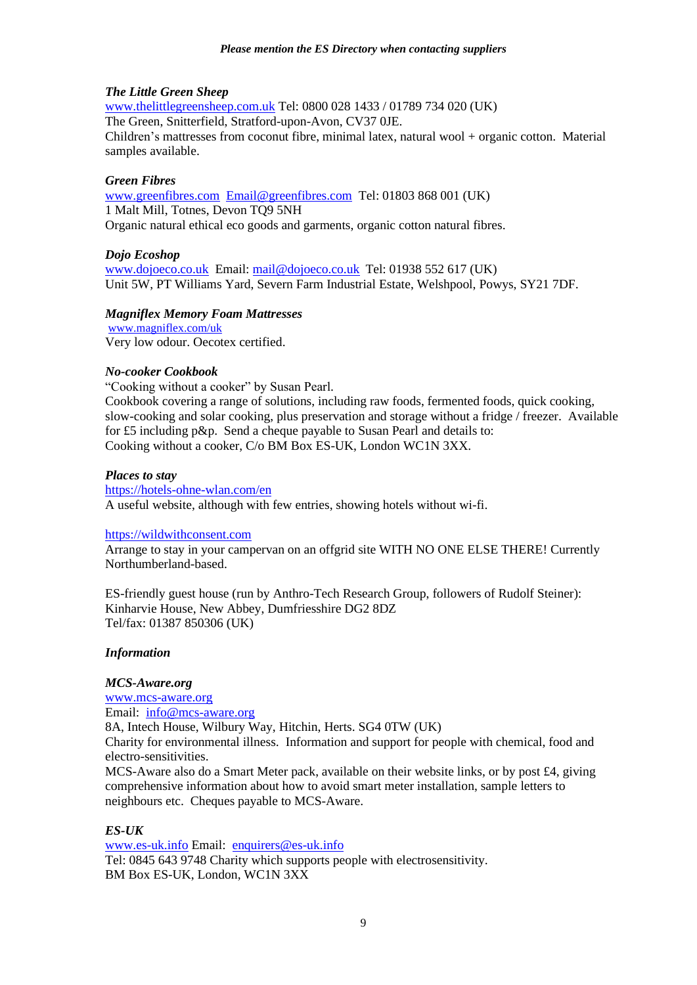### *The Little Green Sheep*

[www.thelittlegreensheep.com.uk](http://www.thelittlegreensheep.com.uk/) Tel: 0800 028 1433 / 01789 734 020 (UK) The Green, Snitterfield, Stratford-upon-Avon, CV37 0JE. Children's mattresses from coconut fibre, minimal latex, natural wool + organic cotton. Material samples available.

### *Green Fibres*

[www.greenfibres.com](http://www.greenfibres.com/) [Email@greenfibres.com](mailto:Email@greenfibres.com) Tel: 01803 868 001 (UK) 1 Malt Mill, Totnes, Devon TQ9 5NH Organic natural ethical eco goods and garments, organic cotton natural fibres.

### *Dojo Ecoshop*

[www.dojoeco.co.uk](http://www.dojoeco.co.uk/) Email[: mail@dojoeco.co.uk](mailto:mail@dojoeco.co.uk) Tel: 01938 552 617 (UK) Unit 5W, PT Williams Yard, Severn Farm Industrial Estate, Welshpool, Powys, SY21 7DF.

#### *Magniflex Memory Foam Mattresses*

[www.magniflex.com/uk](http://www.magniflex.com/uk) Very low odour. Oecotex certified.

#### *No-cooker Cookbook*

"Cooking without a cooker" by Susan Pearl. Cookbook covering a range of solutions, including raw foods, fermented foods, quick cooking, slow-cooking and solar cooking, plus preservation and storage without a fridge / freezer. Available for £5 including p&p. Send a cheque payable to Susan Pearl and details to: Cooking without a cooker, C/o BM Box ES-UK, London WC1N 3XX.

#### *Places to stay*

<https://hotels-ohne-wlan.com/en> A useful website, although with few entries, showing hotels without wi-fi.

#### [https://wildwithconsent.com](https://wildwithconsent.com/)

Arrange to stay in your campervan on an offgrid site WITH NO ONE ELSE THERE! Currently Northumberland-based.

ES-friendly guest house (run by Anthro-Tech Research Group, followers of Rudolf Steiner): Kinharvie House, New Abbey, Dumfriesshire DG2 8DZ Tel/fax: 01387 850306 (UK)

### *Information*

### *MCS-Aware.org*

[www.mcs-aware.org](http://www.mcs-aware.org/) Email: [info@mcs-aware.org](mailto:info@mcs-aware.org) 8A, Intech House, Wilbury Way, Hitchin, Herts. SG4 0TW (UK) Charity for environmental illness. Information and support for people with chemical, food and electro-sensitivities. MCS-Aware also do a Smart Meter pack, available on their website links, or by post £4, giving

comprehensive information about how to avoid smart meter installation, sample letters to neighbours etc. Cheques payable to MCS-Aware.

### *ES-UK*

[www.es-uk.info](http://www.es-uk.infoo/) Email: [enquirers@es-uk.info](mailto:enquirers@es-uk.info) Tel: 0845 643 9748 Charity which supports people with electrosensitivity. BM Box ES-UK, London, WC1N 3XX